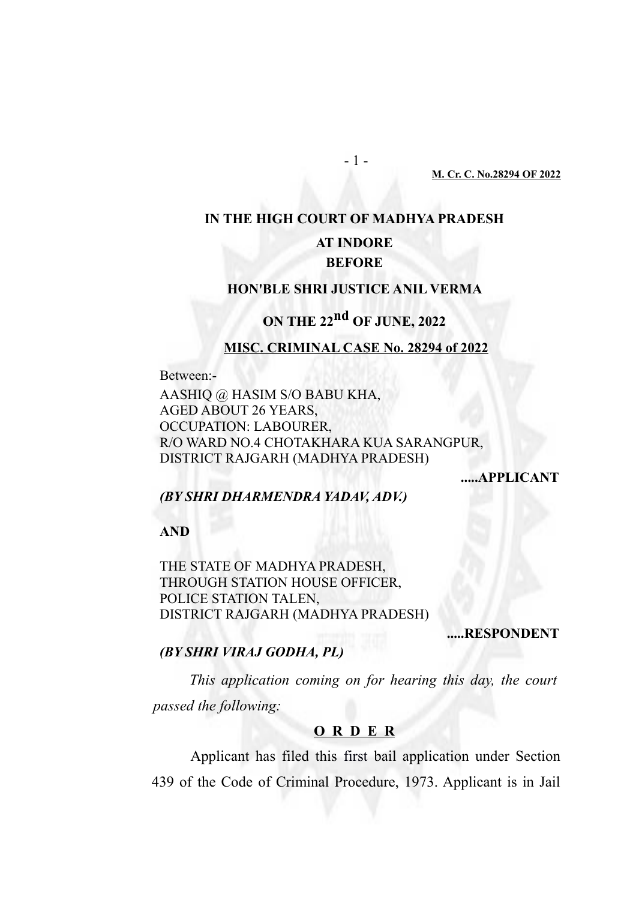**M. Cr. C. No.28294 OF 2022**

# **IN THE HIGH COURT OF MADHYA PRADESH AT INDORE BEFORE**

- 1 -

#### **HON'BLE SHRI JUSTICE ANIL VERMA**

## **ON THE 22nd OF JUNE, 2022**

#### **MISC. CRIMINAL CASE No. 28294 of 2022**

Between:-

AASHIQ @ HASIM S/O BABU KHA, AGED ABOUT 26 YEARS, OCCUPATION: LABOURER, R/O WARD NO.4 CHOTAKHARA KUA SARANGPUR, DISTRICT RAJGARH (MADHYA PRADESH)

**.....APPLICANT**

### *(BY SHRI DHARMENDRA YADAV, ADV.)*

**AND** 

THE STATE OF MADHYA PRADESH, THROUGH STATION HOUSE OFFICER, POLICE STATION TALEN, DISTRICT RAJGARH (MADHYA PRADESH)

**.....RESPONDENT**

### *(BY SHRI VIRAJ GODHA, PL)*

*This application coming on for hearing this day, the court passed the following:* 

#### **O R D E R**

Applicant has filed this first bail application under Section 439 of the Code of Criminal Procedure, 1973. Applicant is in Jail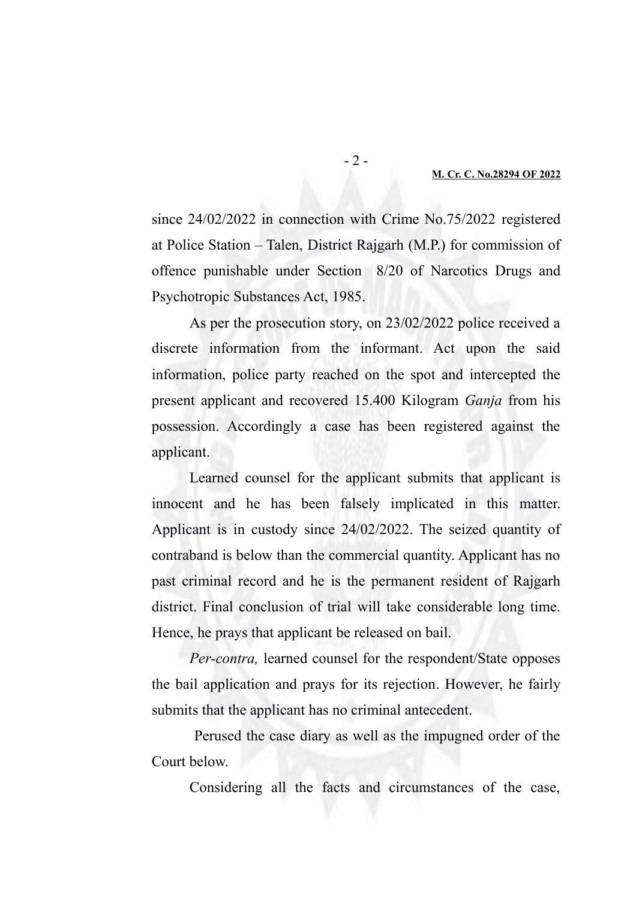#### **M. Cr. C. No.28294 OF 2022**

since 24/02/2022 in connection with Crime No.75/2022 registered at Police Station – Talen, District Rajgarh (M.P.) for commission of offence punishable under Section 8/20 of Narcotics Drugs and Psychotropic Substances Act, 1985.

As per the prosecution story, on 23/02/2022 police received a discrete information from the informant. Act upon the said information, police party reached on the spot and intercepted the present applicant and recovered 15.400 Kilogram *Ganja* from his possession. Accordingly a case has been registered against the applicant.

Learned counsel for the applicant submits that applicant is innocent and he has been falsely implicated in this matter. Applicant is in custody since 24/02/2022. The seized quantity of contraband is below than the commercial quantity. Applicant has no past criminal record and he is the permanent resident of Rajgarh district. Final conclusion of trial will take considerable long time. Hence, he prays that applicant be released on bail.

*Per-contra,* learned counsel for the respondent/State opposes the bail application and prays for its rejection. However, he fairly submits that the applicant has no criminal antecedent.

 Perused the case diary as well as the impugned order of the Court below.

Considering all the facts and circumstances of the case,